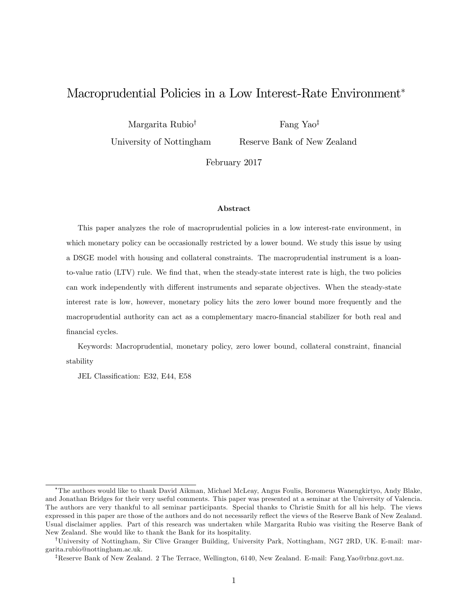# Macroprudential Policies in a Low Interest-Rate Environment

Margarita Rubio<sup>†</sup>

Fang Yao<sup>‡</sup>

University of Nottingham

Reserve Bank of New Zealand

February 2017

#### Abstract

This paper analyzes the role of macroprudential policies in a low interest-rate environment, in which monetary policy can be occasionally restricted by a lower bound. We study this issue by using a DSGE model with housing and collateral constraints. The macroprudential instrument is a loanto-value ratio (LTV) rule. We find that, when the steady-state interest rate is high, the two policies can work independently with different instruments and separate objectives. When the steady-state interest rate is low, however, monetary policy hits the zero lower bound more frequently and the macroprudential authority can act as a complementary macro-Önancial stabilizer for both real and financial cycles.

Keywords: Macroprudential, monetary policy, zero lower bound, collateral constraint, financial stability

JEL Classification: E32, E44, E58

The authors would like to thank David Aikman, Michael McLeay, Angus Foulis, Boromeus Wanengkirtyo, Andy Blake, and Jonathan Bridges for their very useful comments. This paper was presented at a seminar at the University of Valencia. The authors are very thankful to all seminar participants. Special thanks to Christie Smith for all his help. The views expressed in this paper are those of the authors and do not necessarily reflect the views of the Reserve Bank of New Zealand. Usual disclaimer applies. Part of this research was undertaken while Margarita Rubio was visiting the Reserve Bank of New Zealand. She would like to thank the Bank for its hospitality.

<sup>&</sup>lt;sup>†</sup>University of Nottingham, Sir Clive Granger Building, University Park, Nottingham, NG7 2RD, UK. E-mail: margarita.rubio@nottingham.ac.uk.

<sup>&</sup>lt;sup>7</sup>Reserve Bank of New Zealand. 2 The Terrace, Wellington, 6140, New Zealand. E-mail: Fang.Yao@rbnz.govt.nz.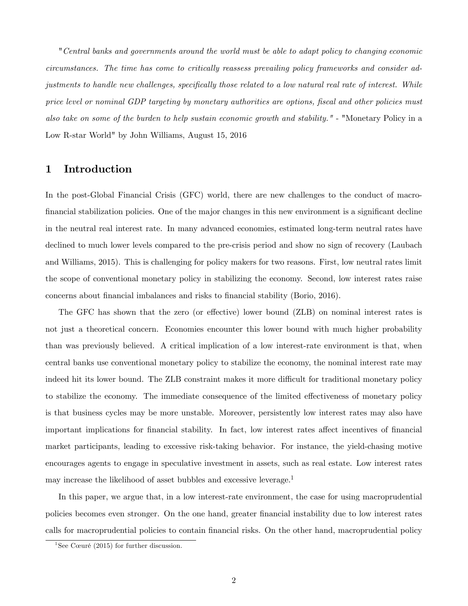"Central banks and governments around the world must be able to adapt policy to changing economic circumstances. The time has come to critically reassess prevailing policy frameworks and consider adjustments to handle new challenges, specifically those related to a low natural real rate of interest. While price level or nominal GDP targeting by monetary authorities are options, fiscal and other policies must also take on some of the burden to help sustain economic growth and stability." - "Monetary Policy in a Low R-star World" by John Williams, August 15, 2016

## 1 Introduction

In the post-Global Financial Crisis (GFC) world, there are new challenges to the conduct of macrofinancial stabilization policies. One of the major changes in this new environment is a significant decline in the neutral real interest rate. In many advanced economies, estimated long-term neutral rates have declined to much lower levels compared to the pre-crisis period and show no sign of recovery (Laubach and Williams, 2015). This is challenging for policy makers for two reasons. First, low neutral rates limit the scope of conventional monetary policy in stabilizing the economy. Second, low interest rates raise concerns about Önancial imbalances and risks to Önancial stability (Borio, 2016).

The GFC has shown that the zero (or effective) lower bound (ZLB) on nominal interest rates is not just a theoretical concern. Economies encounter this lower bound with much higher probability than was previously believed. A critical implication of a low interest-rate environment is that, when central banks use conventional monetary policy to stabilize the economy, the nominal interest rate may indeed hit its lower bound. The ZLB constraint makes it more difficult for traditional monetary policy to stabilize the economy. The immediate consequence of the limited effectiveness of monetary policy is that business cycles may be more unstable. Moreover, persistently low interest rates may also have important implications for financial stability. In fact, low interest rates affect incentives of financial market participants, leading to excessive risk-taking behavior. For instance, the yield-chasing motive encourages agents to engage in speculative investment in assets, such as real estate. Low interest rates may increase the likelihood of asset bubbles and excessive leverage.<sup>1</sup>

In this paper, we argue that, in a low interest-rate environment, the case for using macroprudential policies becomes even stronger. On the one hand, greater Önancial instability due to low interest rates calls for macroprudential policies to contain Önancial risks. On the other hand, macroprudential policy

<sup>&</sup>lt;sup>1</sup>See Cœuré (2015) for further discussion.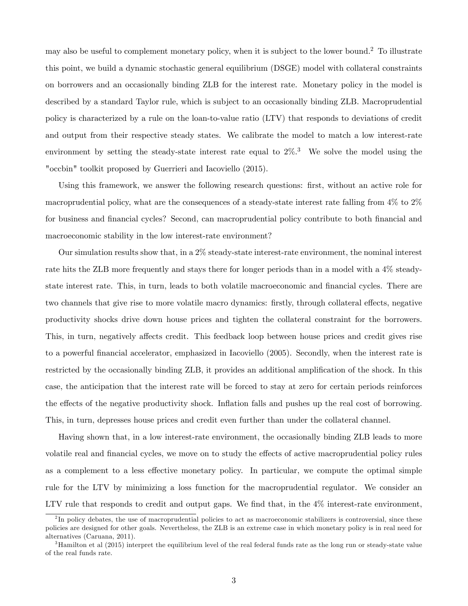may also be useful to complement monetary policy, when it is subject to the lower bound.<sup>2</sup> To illustrate this point, we build a dynamic stochastic general equilibrium (DSGE) model with collateral constraints on borrowers and an occasionally binding ZLB for the interest rate. Monetary policy in the model is described by a standard Taylor rule, which is subject to an occasionally binding ZLB. Macroprudential policy is characterized by a rule on the loan-to-value ratio (LTV) that responds to deviations of credit and output from their respective steady states. We calibrate the model to match a low interest-rate environment by setting the steady-state interest rate equal to  $2\%$ .<sup>3</sup> We solve the model using the "occbin" toolkit proposed by Guerrieri and Iacoviello (2015).

Using this framework, we answer the following research questions: first, without an active role for macroprudential policy, what are the consequences of a steady-state interest rate falling from 4% to 2% for business and financial cycles? Second, can macroprudential policy contribute to both financial and macroeconomic stability in the low interest-rate environment?

Our simulation results show that, in a 2% steady-state interest-rate environment, the nominal interest rate hits the ZLB more frequently and stays there for longer periods than in a model with a 4% steadystate interest rate. This, in turn, leads to both volatile macroeconomic and financial cycles. There are two channels that give rise to more volatile macro dynamics: firstly, through collateral effects, negative productivity shocks drive down house prices and tighten the collateral constraint for the borrowers. This, in turn, negatively affects credit. This feedback loop between house prices and credit gives rise to a powerful Önancial accelerator, emphasized in Iacoviello (2005). Secondly, when the interest rate is restricted by the occasionally binding ZLB, it provides an additional amplification of the shock. In this case, the anticipation that the interest rate will be forced to stay at zero for certain periods reinforces the effects of the negative productivity shock. Inflation falls and pushes up the real cost of borrowing. This, in turn, depresses house prices and credit even further than under the collateral channel.

Having shown that, in a low interest-rate environment, the occasionally binding ZLB leads to more volatile real and financial cycles, we move on to study the effects of active macroprudential policy rules as a complement to a less effective monetary policy. In particular, we compute the optimal simple rule for the LTV by minimizing a loss function for the macroprudential regulator. We consider an LTV rule that responds to credit and output gaps. We find that, in the  $4\%$  interest-rate environment,

<sup>&</sup>lt;sup>2</sup>In policy debates, the use of macroprudential policies to act as macroeconomic stabilizers is controversial, since these policies are designed for other goals. Nevertheless, the ZLB is an extreme case in which monetary policy is in real need for alternatives (Caruana, 2011).

<sup>&</sup>lt;sup>3</sup>Hamilton et al (2015) interpret the equilibrium level of the real federal funds rate as the long run or steady-state value of the real funds rate.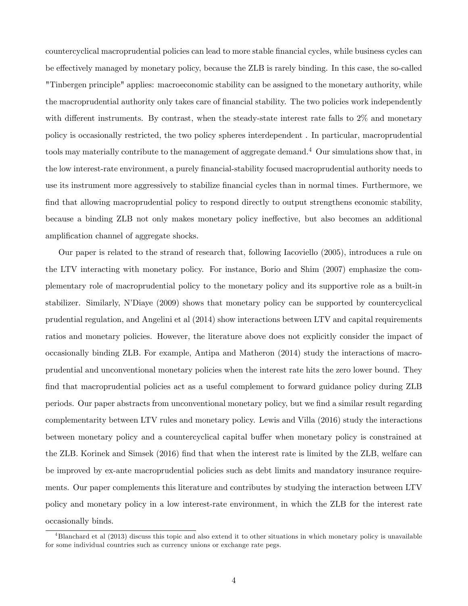countercyclical macroprudential policies can lead to more stable Önancial cycles, while business cycles can be effectively managed by monetary policy, because the ZLB is rarely binding. In this case, the so-called "Tinbergen principle" applies: macroeconomic stability can be assigned to the monetary authority, while the macroprudential authority only takes care of financial stability. The two policies work independently with different instruments. By contrast, when the steady-state interest rate falls to  $2\%$  and monetary policy is occasionally restricted, the two policy spheres interdependent . In particular, macroprudential tools may materially contribute to the management of aggregate demand.<sup>4</sup> Our simulations show that, in the low interest-rate environment, a purely Önancial-stability focused macroprudential authority needs to use its instrument more aggressively to stabilize Önancial cycles than in normal times. Furthermore, we find that allowing macroprudential policy to respond directly to output strengthens economic stability, because a binding ZLB not only makes monetary policy ineffective, but also becomes an additional amplification channel of aggregate shocks.

Our paper is related to the strand of research that, following Iacoviello (2005), introduces a rule on the LTV interacting with monetary policy. For instance, Borio and Shim (2007) emphasize the complementary role of macroprudential policy to the monetary policy and its supportive role as a built-in stabilizer. Similarly, NíDiaye (2009) shows that monetary policy can be supported by countercyclical prudential regulation, and Angelini et al (2014) show interactions between LTV and capital requirements ratios and monetary policies. However, the literature above does not explicitly consider the impact of occasionally binding ZLB. For example, Antipa and Matheron (2014) study the interactions of macroprudential and unconventional monetary policies when the interest rate hits the zero lower bound. They find that macroprudential policies act as a useful complement to forward guidance policy during ZLB periods. Our paper abstracts from unconventional monetary policy, but we find a similar result regarding complementarity between LTV rules and monetary policy. Lewis and Villa (2016) study the interactions between monetary policy and a countercyclical capital buffer when monetary policy is constrained at the ZLB. Korinek and Simsek (2016) find that when the interest rate is limited by the ZLB, welfare can be improved by ex-ante macroprudential policies such as debt limits and mandatory insurance requirements. Our paper complements this literature and contributes by studying the interaction between LTV policy and monetary policy in a low interest-rate environment, in which the ZLB for the interest rate occasionally binds.

<sup>4</sup>Blanchard et al (2013) discuss this topic and also extend it to other situations in which monetary policy is unavailable for some individual countries such as currency unions or exchange rate pegs.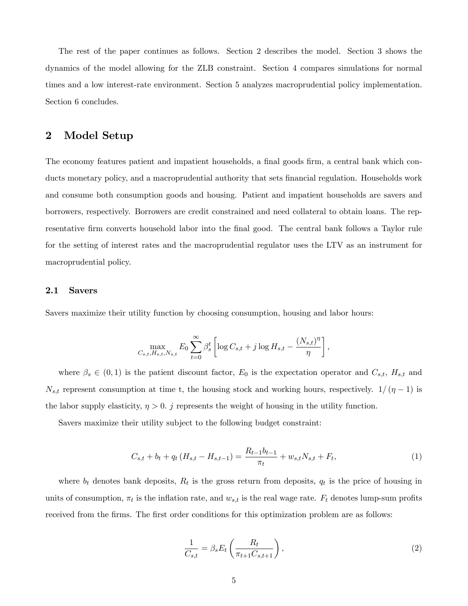The rest of the paper continues as follows. Section 2 describes the model. Section 3 shows the dynamics of the model allowing for the ZLB constraint. Section 4 compares simulations for normal times and a low interest-rate environment. Section 5 analyzes macroprudential policy implementation. Section 6 concludes.

## 2 Model Setup

The economy features patient and impatient households, a final goods firm, a central bank which conducts monetary policy, and a macroprudential authority that sets financial regulation. Households work and consume both consumption goods and housing. Patient and impatient households are savers and borrowers, respectively. Borrowers are credit constrained and need collateral to obtain loans. The representative firm converts household labor into the final good. The central bank follows a Taylor rule for the setting of interest rates and the macroprudential regulator uses the LTV as an instrument for macroprudential policy.

#### 2.1 Savers

Savers maximize their utility function by choosing consumption, housing and labor hours:

$$
\max_{C_{s,t},H_{s,t},N_{s,t}} E_0 \sum_{t=0}^{\infty} \beta_s^t \left[ \log C_{s,t} + j \log H_{s,t} - \frac{(N_{s,t})^{\eta}}{\eta} \right],
$$

where  $\beta_s \in (0,1)$  is the patient discount factor,  $E_0$  is the expectation operator and  $C_{s,t}$ ,  $H_{s,t}$  and  $N_{s,t}$  represent consumption at time t, the housing stock and working hours, respectively.  $1/( \eta - 1)$  is the labor supply elasticity,  $\eta > 0$ . j represents the weight of housing in the utility function.

Savers maximize their utility subject to the following budget constraint:

$$
C_{s,t} + b_t + q_t (H_{s,t} - H_{s,t-1}) = \frac{R_{t-1}b_{t-1}}{\pi_t} + w_{s,t}N_{s,t} + F_t,
$$
\n(1)

where  $b_t$  denotes bank deposits,  $R_t$  is the gross return from deposits,  $q_t$  is the price of housing in units of consumption,  $\pi_t$  is the inflation rate, and  $w_{s,t}$  is the real wage rate.  $F_t$  denotes lump-sum profits received from the firms. The first order conditions for this optimization problem are as follows:

$$
\frac{1}{C_{s,t}} = \beta_s E_t \left( \frac{R_t}{\pi_{t+1} C_{s,t+1}} \right),\tag{2}
$$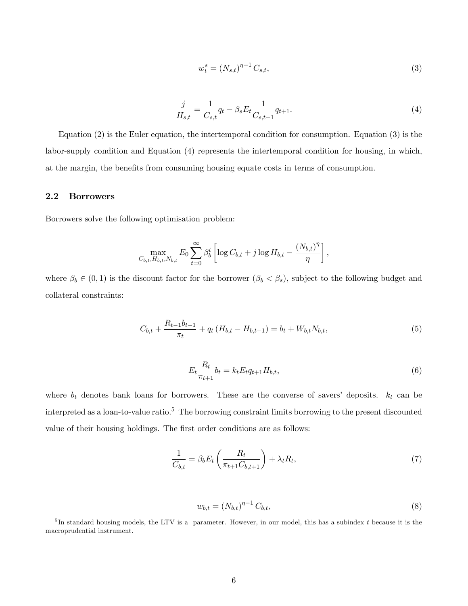$$
w_t^s = (N_{s,t})^{\eta - 1} C_{s,t},\tag{3}
$$

$$
\frac{j}{H_{s,t}} = \frac{1}{C_{s,t}} q_t - \beta_s E_t \frac{1}{C_{s,t+1}} q_{t+1}.
$$
\n(4)

Equation (2) is the Euler equation, the intertemporal condition for consumption. Equation (3) is the labor-supply condition and Equation (4) represents the intertemporal condition for housing, in which, at the margin, the benefits from consuming housing equate costs in terms of consumption.

#### 2.2 Borrowers

Borrowers solve the following optimisation problem:

$$
\max_{C_{b,t}, H_{b,t}, N_{b,t}} E_0 \sum_{t=0}^{\infty} \beta_b^t \left[ \log C_{b,t} + j \log H_{b,t} - \frac{(N_{b,t})^{\eta}}{\eta} \right],
$$

where  $\beta_b \in (0,1)$  is the discount factor for the borrower  $(\beta_b < \beta_s)$ , subject to the following budget and collateral constraints:

$$
C_{b,t} + \frac{R_{t-1}b_{t-1}}{\pi_t} + q_t (H_{b,t} - H_{b,t-1}) = b_t + W_{b,t}N_{b,t},
$$
\n(5)

$$
E_t \frac{R_t}{\pi_{t+1}} b_t = k_t E_t q_{t+1} H_{b,t},
$$
\n(6)

where  $b_t$  denotes bank loans for borrowers. These are the converse of savers' deposits.  $k_t$  can be interpreted as a loan-to-value ratio.<sup>5</sup> The borrowing constraint limits borrowing to the present discounted value of their housing holdings. The first order conditions are as follows:

$$
\frac{1}{C_{b,t}} = \beta_b E_t \left( \frac{R_t}{\pi_{t+1} C_{b,t+1}} \right) + \lambda_t R_t,
$$
\n(7)

$$
w_{b,t} = (N_{b,t})^{\eta - 1} C_{b,t},
$$
\n(8)

 $5$ In standard housing models, the LTV is a parameter. However, in our model, this has a subindex t because it is the macroprudential instrument.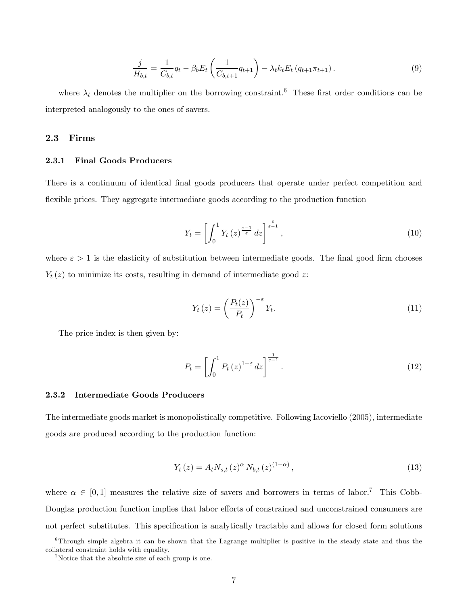$$
\frac{j}{H_{b,t}} = \frac{1}{C_{b,t}} q_t - \beta_b E_t \left( \frac{1}{C_{b,t+1}} q_{t+1} \right) - \lambda_t k_t E_t \left( q_{t+1} \pi_{t+1} \right). \tag{9}
$$

where  $\lambda_t$  denotes the multiplier on the borrowing constraint.<sup>6</sup> These first order conditions can be interpreted analogously to the ones of savers.

#### 2.3 Firms

#### 2.3.1 Final Goods Producers

There is a continuum of identical final goods producers that operate under perfect competition and flexible prices. They aggregate intermediate goods according to the production function

$$
Y_t = \left[ \int_0^1 Y_t(z)^{\frac{\varepsilon - 1}{\varepsilon}} dz \right]^{\frac{\varepsilon}{\varepsilon - 1}},\tag{10}
$$

where  $\varepsilon > 1$  is the elasticity of substitution between intermediate goods. The final good firm chooses  $Y_t(z)$  to minimize its costs, resulting in demand of intermediate good z:

$$
Y_t(z) = \left(\frac{P_t(z)}{P_t}\right)^{-\varepsilon} Y_t.
$$
\n(11)

The price index is then given by:

$$
P_t = \left[ \int_0^1 P_t(z)^{1-\varepsilon} dz \right]^{\frac{1}{\varepsilon-1}}.
$$
\n(12)

#### 2.3.2 Intermediate Goods Producers

The intermediate goods market is monopolistically competitive. Following Iacoviello (2005), intermediate goods are produced according to the production function:

$$
Y_{t}(z) = A_{t} N_{s,t}(z)^{\alpha} N_{b,t}(z)^{(1-\alpha)},
$$
\n(13)

where  $\alpha \in [0, 1]$  measures the relative size of savers and borrowers in terms of labor.<sup>7</sup> This Cobb-Douglas production function implies that labor efforts of constrained and unconstrained consumers are not perfect substitutes. This specification is analytically tractable and allows for closed form solutions

 $6$ Through simple algebra it can be shown that the Lagrange multiplier is positive in the steady state and thus the collateral constraint holds with equality.

<sup>&</sup>lt;sup>7</sup>Notice that the absolute size of each group is one.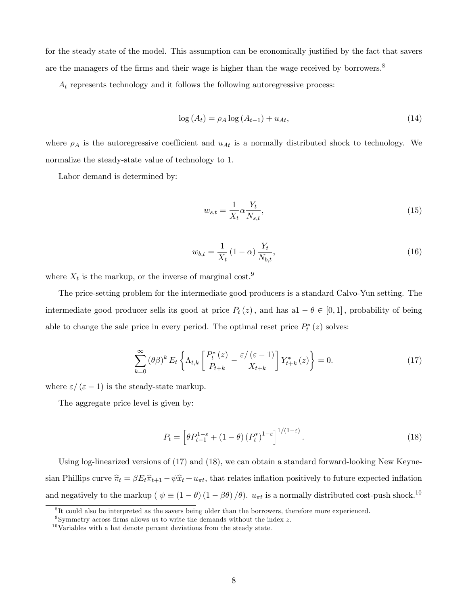for the steady state of the model. This assumption can be economically justified by the fact that savers are the managers of the firms and their wage is higher than the wage received by borrowers.<sup>8</sup>

 $A_t$  represents technology and it follows the following autoregressive process:

$$
\log\left(A_t\right) = \rho_A \log\left(A_{t-1}\right) + u_{At},\tag{14}
$$

where  $\rho_A$  is the autoregressive coefficient and  $u_{At}$  is a normally distributed shock to technology. We normalize the steady-state value of technology to 1.

Labor demand is determined by:

$$
w_{s,t} = \frac{1}{X_t} \alpha \frac{Y_t}{N_{s,t}},\tag{15}
$$

$$
w_{b,t} = \frac{1}{X_t} (1 - \alpha) \frac{Y_t}{N_{b,t}},
$$
\n(16)

where  $X_t$  is the markup, or the inverse of marginal cost.<sup>9</sup>

The price-setting problem for the intermediate good producers is a standard Calvo-Yun setting. The intermediate good producer sells its good at price  $P_t(z)$ , and has  $a1 - \theta \in [0, 1]$ , probability of being able to change the sale price in every period. The optimal reset price  $P_t^*(z)$  solves:

$$
\sum_{k=0}^{\infty} (\theta \beta)^k E_t \left\{ \Lambda_{t,k} \left[ \frac{P_t^*(z)}{P_{t+k}} - \frac{\varepsilon/(\varepsilon - 1)}{X_{t+k}} \right] Y_{t+k}^*(z) \right\} = 0. \tag{17}
$$

where  $\varepsilon/(\varepsilon - 1)$  is the steady-state markup.

The aggregate price level is given by:

$$
P_t = \left[\theta P_{t-1}^{1-\varepsilon} + (1-\theta) \left(P_t^*\right)^{1-\varepsilon}\right]^{1/(1-\varepsilon)}.\tag{18}
$$

Using log-linearized versions of (17) and (18), we can obtain a standard forward-looking New Keynesian Phillips curve  $\hat{\pi}_t = \beta E_t \hat{\pi}_{t+1} - \psi \hat{x}_t + u_{\pi t}$ , that relates inflation positively to future expected inflation and negatively to the markup ( $\psi \equiv (1 - \theta) (1 - \beta \theta) / \theta$ ).  $u_{\pi t}$  is a normally distributed cost-push shock.<sup>10</sup>

<sup>&</sup>lt;sup>8</sup>It could also be interpreted as the savers being older than the borrowers, therefore more experienced.

<sup>&</sup>lt;sup>9</sup>Symmetry across firms allows us to write the demands without the index  $z$ .

 $10$ Variables with a hat denote percent deviations from the steady state.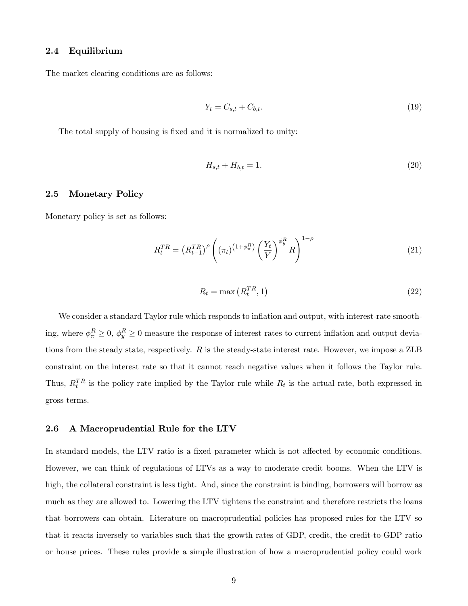## 2.4 Equilibrium

The market clearing conditions are as follows:

$$
Y_t = C_{s,t} + C_{b,t}.\tag{19}
$$

The total supply of housing is fixed and it is normalized to unity:

$$
H_{s,t} + H_{b,t} = 1.
$$
\n(20)

#### 2.5 Monetary Policy

Monetary policy is set as follows:

$$
R_t^{TR} = \left(R_{t-1}^{TR}\right)^{\rho} \left( \left(\pi_t\right)^{\left(1+\phi_{\pi}^R\right)} \left(\frac{Y_t}{Y}\right)^{\phi_{y}^R} R \right)^{1-\rho} \tag{21}
$$

$$
R_t = \max\left(R_t^{TR}, 1\right) \tag{22}
$$

We consider a standard Taylor rule which responds to inflation and output, with interest-rate smoothing, where  $\phi_{\pi}^R \ge 0$ ,  $\phi_y^R \ge 0$  measure the response of interest rates to current inflation and output deviations from the steady state, respectively.  $R$  is the steady-state interest rate. However, we impose a ZLB constraint on the interest rate so that it cannot reach negative values when it follows the Taylor rule. Thus,  $R_t^{TR}$  is the policy rate implied by the Taylor rule while  $R_t$  is the actual rate, both expressed in gross terms.

#### 2.6 A Macroprudential Rule for the LTV

In standard models, the LTV ratio is a fixed parameter which is not affected by economic conditions. However, we can think of regulations of LTVs as a way to moderate credit booms. When the LTV is high, the collateral constraint is less tight. And, since the constraint is binding, borrowers will borrow as much as they are allowed to. Lowering the LTV tightens the constraint and therefore restricts the loans that borrowers can obtain. Literature on macroprudential policies has proposed rules for the LTV so that it reacts inversely to variables such that the growth rates of GDP, credit, the credit-to-GDP ratio or house prices. These rules provide a simple illustration of how a macroprudential policy could work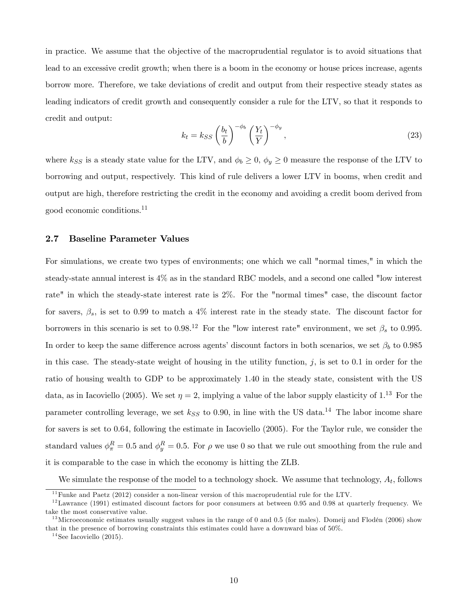in practice. We assume that the objective of the macroprudential regulator is to avoid situations that lead to an excessive credit growth; when there is a boom in the economy or house prices increase, agents borrow more. Therefore, we take deviations of credit and output from their respective steady states as leading indicators of credit growth and consequently consider a rule for the LTV, so that it responds to credit and output:

$$
k_t = k_{SS} \left(\frac{b_t}{b}\right)^{-\phi_b} \left(\frac{Y_t}{Y}\right)^{-\phi_y},\tag{23}
$$

where  $k_{SS}$  is a steady state value for the LTV, and  $\phi_b \ge 0$ ,  $\phi_y \ge 0$  measure the response of the LTV to borrowing and output, respectively. This kind of rule delivers a lower LTV in booms, when credit and output are high, therefore restricting the credit in the economy and avoiding a credit boom derived from good economic conditions.<sup>11</sup>

#### 2.7 Baseline Parameter Values

For simulations, we create two types of environments; one which we call "normal times," in which the steady-state annual interest is 4% as in the standard RBC models, and a second one called "low interest rate" in which the steady-state interest rate is 2%. For the "normal times" case, the discount factor for savers,  $\beta_s$ , is set to 0.99 to match a 4% interest rate in the steady state. The discount factor for borrowers in this scenario is set to 0.98.<sup>12</sup> For the "low interest rate" environment, we set  $\beta_s$  to 0.995. In order to keep the same difference across agents' discount factors in both scenarios, we set  $\beta_b$  to 0.985 in this case. The steady-state weight of housing in the utility function,  $j$ , is set to 0.1 in order for the ratio of housing wealth to GDP to be approximately 1.40 in the steady state, consistent with the US data, as in Iacoviello (2005). We set  $\eta = 2$ , implying a value of the labor supply elasticity of 1.<sup>13</sup> For the parameter controlling leverage, we set  $k_{SS}$  to 0.90, in line with the US data.<sup>14</sup> The labor income share for savers is set to 0.64, following the estimate in Iacoviello (2005). For the Taylor rule, we consider the standard values  $\phi_{\pi}^{R} = 0.5$  and  $\phi_{y}^{R} = 0.5$ . For  $\rho$  we use 0 so that we rule out smoothing from the rule and it is comparable to the case in which the economy is hitting the ZLB.

We simulate the response of the model to a technology shock. We assume that technology,  $A_t$ , follows

 $11$  Funke and Paetz (2012) consider a non-linear version of this macroprudential rule for the LTV.

 $12$ Lawrance (1991) estimated discount factors for poor consumers at between 0.95 and 0.98 at quarterly frequency. We take the most conservative value.

<sup>&</sup>lt;sup>13</sup>Microeconomic estimates usually suggest values in the range of 0 and 0.5 (for males). Domeij and Flodén (2006) show that in the presence of borrowing constraints this estimates could have a downward bias of 50%.

 $14$ See Iacoviello (2015).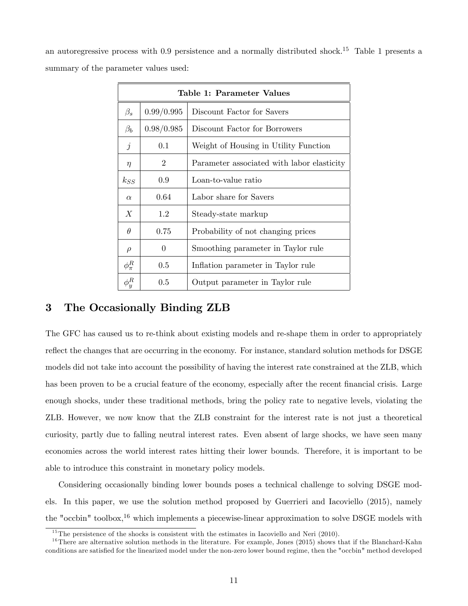an autoregressive process with  $0.9$  persistence and a normally distributed shock.<sup>15</sup> Table 1 presents a summary of the parameter values used:

| Table 1: Parameter Values |                |                                            |  |  |  |  |
|---------------------------|----------------|--------------------------------------------|--|--|--|--|
| $\beta_s$                 | 0.99/0.995     | Discount Factor for Savers                 |  |  |  |  |
| $\beta_b$                 | 0.98/0.985     | Discount Factor for Borrowers              |  |  |  |  |
| $\jmath$                  | 0.1            | Weight of Housing in Utility Function      |  |  |  |  |
| $\eta$                    | $\overline{2}$ | Parameter associated with labor elasticity |  |  |  |  |
| $k_{SS}$                  | 0.9            | Loan-to-value ratio                        |  |  |  |  |
| $\alpha$                  | 0.64           | Labor share for Savers                     |  |  |  |  |
| X                         | 1.2            | Steady-state markup                        |  |  |  |  |
| $\theta$                  | 0.75           | Probability of not changing prices         |  |  |  |  |
| $\rho$                    | $\Omega$       | Smoothing parameter in Taylor rule         |  |  |  |  |
| $\phi_\pi^R$              | $0.5\,$        | Inflation parameter in Taylor rule         |  |  |  |  |
| $\phi^R_y$                | $0.5\,$        | Output parameter in Taylor rule            |  |  |  |  |

## 3 The Occasionally Binding ZLB

The GFC has caused us to re-think about existing models and re-shape them in order to appropriately reflect the changes that are occurring in the economy. For instance, standard solution methods for DSGE models did not take into account the possibility of having the interest rate constrained at the ZLB, which has been proven to be a crucial feature of the economy, especially after the recent financial crisis. Large enough shocks, under these traditional methods, bring the policy rate to negative levels, violating the ZLB. However, we now know that the ZLB constraint for the interest rate is not just a theoretical curiosity, partly due to falling neutral interest rates. Even absent of large shocks, we have seen many economies across the world interest rates hitting their lower bounds. Therefore, it is important to be able to introduce this constraint in monetary policy models.

Considering occasionally binding lower bounds poses a technical challenge to solving DSGE models. In this paper, we use the solution method proposed by Guerrieri and Iacoviello (2015), namely the "occbin" toolbox,  $16$  which implements a piecewise-linear approximation to solve DSGE models with

<sup>&</sup>lt;sup>15</sup>The persistence of the shocks is consistent with the estimates in Iacoviello and Neri  $(2010)$ .

 $16$ There are alternative solution methods in the literature. For example, Jones (2015) shows that if the Blanchard-Kahn conditions are satisfied for the linearized model under the non-zero lower bound regime, then the "occbin" method developed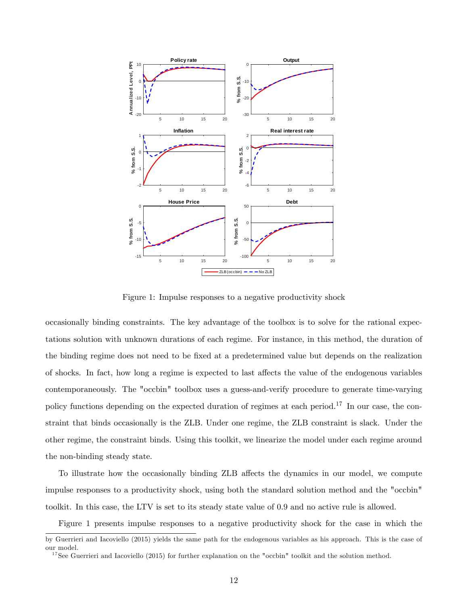

Figure 1: Impulse responses to a negative productivity shock

occasionally binding constraints. The key advantage of the toolbox is to solve for the rational expectations solution with unknown durations of each regime. For instance, in this method, the duration of the binding regime does not need to be fixed at a predetermined value but depends on the realization of shocks. In fact, how long a regime is expected to last affects the value of the endogenous variables contemporaneously. The "occbin" toolbox uses a guess-and-verify procedure to generate time-varying policy functions depending on the expected duration of regimes at each period.<sup>17</sup> In our case, the constraint that binds occasionally is the ZLB. Under one regime, the ZLB constraint is slack. Under the other regime, the constraint binds. Using this toolkit, we linearize the model under each regime around the non-binding steady state.

To illustrate how the occasionally binding ZLB affects the dynamics in our model, we compute impulse responses to a productivity shock, using both the standard solution method and the "occbin" toolkit. In this case, the LTV is set to its steady state value of 0.9 and no active rule is allowed.

Figure 1 presents impulse responses to a negative productivity shock for the case in which the

by Guerrieri and Iacoviello (2015) yields the same path for the endogenous variables as his approach. This is the case of our model.

<sup>&</sup>lt;sup>17</sup>See Guerrieri and Iacoviello (2015) for further explanation on the "occbin" toolkit and the solution method.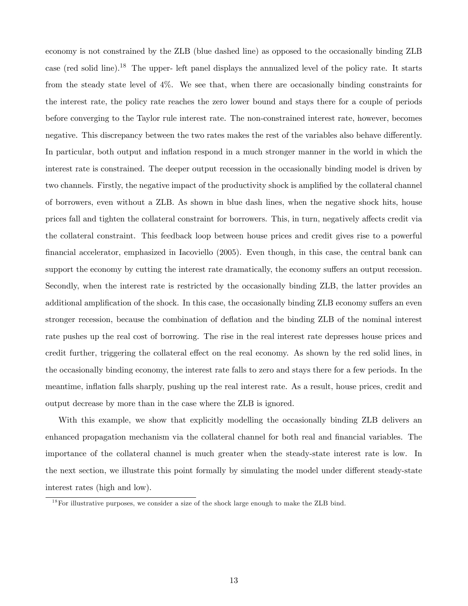economy is not constrained by the ZLB (blue dashed line) as opposed to the occasionally binding ZLB case (red solid line).<sup>18</sup> The upper- left panel displays the annualized level of the policy rate. It starts from the steady state level of 4%. We see that, when there are occasionally binding constraints for the interest rate, the policy rate reaches the zero lower bound and stays there for a couple of periods before converging to the Taylor rule interest rate. The non-constrained interest rate, however, becomes negative. This discrepancy between the two rates makes the rest of the variables also behave differently. In particular, both output and inflation respond in a much stronger manner in the world in which the interest rate is constrained. The deeper output recession in the occasionally binding model is driven by two channels. Firstly, the negative impact of the productivity shock is amplified by the collateral channel of borrowers, even without a ZLB. As shown in blue dash lines, when the negative shock hits, house prices fall and tighten the collateral constraint for borrowers. This, in turn, negatively affects credit via the collateral constraint. This feedback loop between house prices and credit gives rise to a powerful financial accelerator, emphasized in Iacoviello (2005). Even though, in this case, the central bank can support the economy by cutting the interest rate dramatically, the economy suffers an output recession. Secondly, when the interest rate is restricted by the occasionally binding ZLB, the latter provides an additional amplification of the shock. In this case, the occasionally binding ZLB economy suffers an even stronger recession, because the combination of deflation and the binding ZLB of the nominal interest rate pushes up the real cost of borrowing. The rise in the real interest rate depresses house prices and credit further, triggering the collateral effect on the real economy. As shown by the red solid lines, in the occasionally binding economy, the interest rate falls to zero and stays there for a few periods. In the meantime, inflation falls sharply, pushing up the real interest rate. As a result, house prices, credit and output decrease by more than in the case where the ZLB is ignored.

With this example, we show that explicitly modelling the occasionally binding ZLB delivers an enhanced propagation mechanism via the collateral channel for both real and financial variables. The importance of the collateral channel is much greater when the steady-state interest rate is low. In the next section, we illustrate this point formally by simulating the model under different steady-state interest rates (high and low).

<sup>&</sup>lt;sup>18</sup>For illustrative purposes, we consider a size of the shock large enough to make the ZLB bind.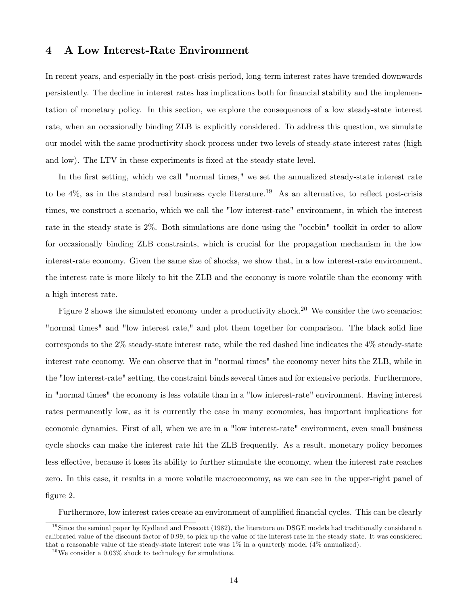## 4 A Low Interest-Rate Environment

In recent years, and especially in the post-crisis period, long-term interest rates have trended downwards persistently. The decline in interest rates has implications both for financial stability and the implementation of monetary policy. In this section, we explore the consequences of a low steady-state interest rate, when an occasionally binding ZLB is explicitly considered. To address this question, we simulate our model with the same productivity shock process under two levels of steady-state interest rates (high and low). The LTV in these experiments is fixed at the steady-state level.

In the first setting, which we call "normal times," we set the annualized steady-state interest rate to be  $4\%$ , as in the standard real business cycle literature.<sup>19</sup> As an alternative, to reflect post-crisis times, we construct a scenario, which we call the "low interest-rate" environment, in which the interest rate in the steady state is 2%. Both simulations are done using the "occbin" toolkit in order to allow for occasionally binding ZLB constraints, which is crucial for the propagation mechanism in the low interest-rate economy. Given the same size of shocks, we show that, in a low interest-rate environment, the interest rate is more likely to hit the ZLB and the economy is more volatile than the economy with a high interest rate.

Figure 2 shows the simulated economy under a productivity shock.<sup>20</sup> We consider the two scenarios; "normal times" and "low interest rate," and plot them together for comparison. The black solid line corresponds to the 2% steady-state interest rate, while the red dashed line indicates the 4% steady-state interest rate economy. We can observe that in "normal times" the economy never hits the ZLB, while in the "low interest-rate" setting, the constraint binds several times and for extensive periods. Furthermore, in "normal times" the economy is less volatile than in a "low interest-rate" environment. Having interest rates permanently low, as it is currently the case in many economies, has important implications for economic dynamics. First of all, when we are in a "low interest-rate" environment, even small business cycle shocks can make the interest rate hit the ZLB frequently. As a result, monetary policy becomes less effective, because it loses its ability to further stimulate the economy, when the interest rate reaches zero. In this case, it results in a more volatile macroeconomy, as we can see in the upper-right panel of figure 2.

Furthermore, low interest rates create an environment of amplified financial cycles. This can be clearly

 $19$ Since the seminal paper by Kydland and Prescott (1982), the literature on DSGE models had traditionally considered a calibrated value of the discount factor of 0.99, to pick up the value of the interest rate in the steady state. It was considered that a reasonable value of the steady-state interest rate was  $1\%$  in a quarterly model  $(4\%$  annualized).

 $^{20}\rm{We}$  consider a 0.03% shock to technology for simulations.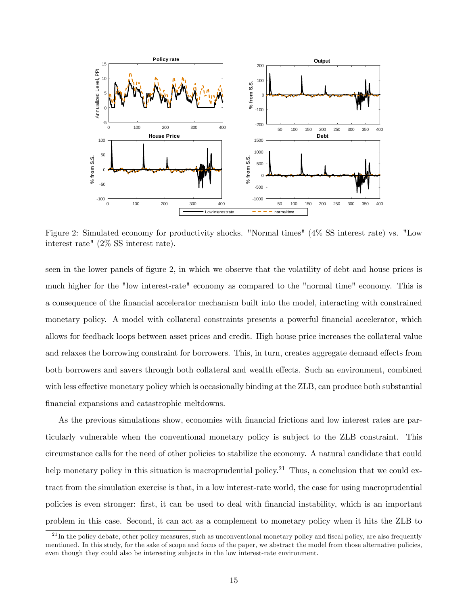

Figure 2: Simulated economy for productivity shocks. "Normal times" (4% SS interest rate) vs. "Low interest rate" (2% SS interest rate).

seen in the lower panels of figure 2, in which we observe that the volatility of debt and house prices is much higher for the "low interest-rate" economy as compared to the "normal time" economy. This is a consequence of the Önancial accelerator mechanism built into the model, interacting with constrained monetary policy. A model with collateral constraints presents a powerful financial accelerator, which allows for feedback loops between asset prices and credit. High house price increases the collateral value and relaxes the borrowing constraint for borrowers. This, in turn, creates aggregate demand effects from both borrowers and savers through both collateral and wealth effects. Such an environment, combined with less effective monetary policy which is occasionally binding at the ZLB, can produce both substantial financial expansions and catastrophic meltdowns.

As the previous simulations show, economies with financial frictions and low interest rates are particularly vulnerable when the conventional monetary policy is subject to the ZLB constraint. This circumstance calls for the need of other policies to stabilize the economy. A natural candidate that could help monetary policy in this situation is macroprudential policy.<sup>21</sup> Thus, a conclusion that we could extract from the simulation exercise is that, in a low interest-rate world, the case for using macroprudential policies is even stronger: Örst, it can be used to deal with Önancial instability, which is an important problem in this case. Second, it can act as a complement to monetary policy when it hits the ZLB to

 $21$ In the policy debate, other policy measures, such as unconventional monetary policy and fiscal policy, are also frequently mentioned. In this study, for the sake of scope and focus of the paper, we abstract the model from those alternative policies, even though they could also be interesting subjects in the low interest-rate environment.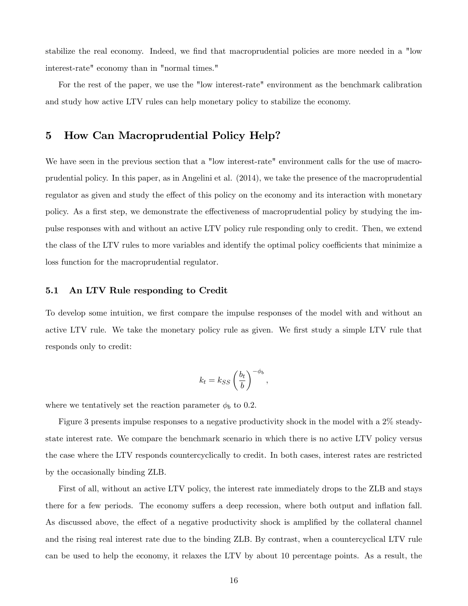stabilize the real economy. Indeed, we find that macroprudential policies are more needed in a "low interest-rate" economy than in "normal times."

For the rest of the paper, we use the "low interest-rate" environment as the benchmark calibration and study how active LTV rules can help monetary policy to stabilize the economy.

## 5 How Can Macroprudential Policy Help?

We have seen in the previous section that a "low interest-rate" environment calls for the use of macroprudential policy. In this paper, as in Angelini et al. (2014), we take the presence of the macroprudential regulator as given and study the effect of this policy on the economy and its interaction with monetary policy. As a first step, we demonstrate the effectiveness of macroprudential policy by studying the impulse responses with and without an active LTV policy rule responding only to credit. Then, we extend the class of the LTV rules to more variables and identify the optimal policy coefficients that minimize a loss function for the macroprudential regulator.

#### 5.1 An LTV Rule responding to Credit

To develop some intuition, we first compare the impulse responses of the model with and without an active LTV rule. We take the monetary policy rule as given. We first study a simple LTV rule that responds only to credit:

$$
k_t = k_{SS} \left(\frac{b_t}{b}\right)^{-\phi_b},
$$

where we tentatively set the reaction parameter  $\phi_b$  to 0.2.

Figure 3 presents impulse responses to a negative productivity shock in the model with a 2% steadystate interest rate. We compare the benchmark scenario in which there is no active LTV policy versus the case where the LTV responds countercyclically to credit. In both cases, interest rates are restricted by the occasionally binding ZLB.

First of all, without an active LTV policy, the interest rate immediately drops to the ZLB and stays there for a few periods. The economy suffers a deep recession, where both output and inflation fall. As discussed above, the effect of a negative productivity shock is amplified by the collateral channel and the rising real interest rate due to the binding ZLB. By contrast, when a countercyclical LTV rule can be used to help the economy, it relaxes the LTV by about 10 percentage points. As a result, the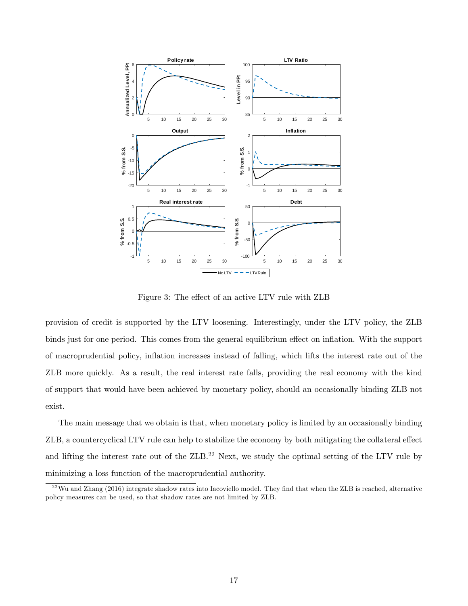

Figure 3: The effect of an active LTV rule with ZLB

provision of credit is supported by the LTV loosening. Interestingly, under the LTV policy, the ZLB binds just for one period. This comes from the general equilibrium effect on inflation. With the support of macroprudential policy, ináation increases instead of falling, which lifts the interest rate out of the ZLB more quickly. As a result, the real interest rate falls, providing the real economy with the kind of support that would have been achieved by monetary policy, should an occasionally binding ZLB not exist.

The main message that we obtain is that, when monetary policy is limited by an occasionally binding ZLB, a countercyclical LTV rule can help to stabilize the economy by both mitigating the collateral effect and lifting the interest rate out of the ZLB.<sup>22</sup> Next, we study the optimal setting of the LTV rule by minimizing a loss function of the macroprudential authority.

 $^{22}$ Wu and Zhang (2016) integrate shadow rates into Iacoviello model. They find that when the ZLB is reached, alternative policy measures can be used, so that shadow rates are not limited by ZLB.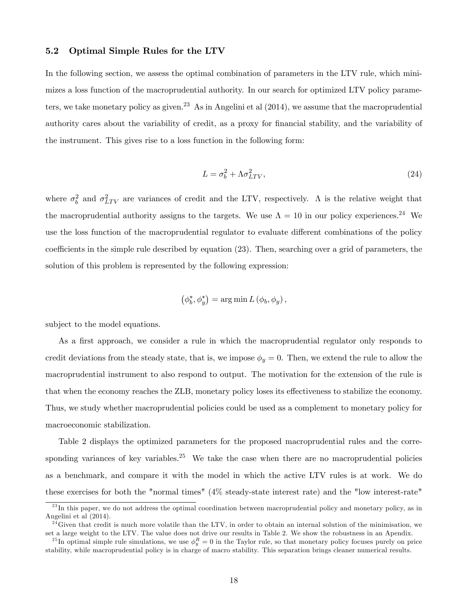#### 5.2 Optimal Simple Rules for the LTV

In the following section, we assess the optimal combination of parameters in the LTV rule, which minimizes a loss function of the macroprudential authority. In our search for optimized LTV policy parameters, we take monetary policy as given.<sup>23</sup> As in Angelini et al  $(2014)$ , we assume that the macroprudential authority cares about the variability of credit, as a proxy for financial stability, and the variability of the instrument. This gives rise to a loss function in the following form:

$$
L = \sigma_b^2 + \Lambda \sigma_{LTV}^2,\tag{24}
$$

where  $\sigma_b^2$  and  $\sigma_{LTV}^2$  are variances of credit and the LTV, respectively. A is the relative weight that the macroprudential authority assigns to the targets. We use  $\Lambda = 10$  in our policy experiences.<sup>24</sup> We use the loss function of the macroprudential regulator to evaluate different combinations of the policy coefficients in the simple rule described by equation  $(23)$ . Then, searching over a grid of parameters, the solution of this problem is represented by the following expression:

$$
(\phi_b^*, \phi_y^*) = \arg\min L(\phi_b, \phi_y),
$$

subject to the model equations.

As a first approach, we consider a rule in which the macroprudential regulator only responds to credit deviations from the steady state, that is, we impose  $\phi_y = 0$ . Then, we extend the rule to allow the macroprudential instrument to also respond to output. The motivation for the extension of the rule is that when the economy reaches the ZLB, monetary policy loses its effectiveness to stabilize the economy. Thus, we study whether macroprudential policies could be used as a complement to monetary policy for macroeconomic stabilization.

Table 2 displays the optimized parameters for the proposed macroprudential rules and the corresponding variances of key variables.<sup>25</sup> We take the case when there are no macroprudential policies as a benchmark, and compare it with the model in which the active LTV rules is at work. We do these exercises for both the "normal times" (4% steady-state interest rate) and the "low interest-rate"

 $^{23}$ In this paper, we do not address the optimal coordination between macroprudential policy and monetary policy, as in Angelini et al (2014).

 $^{24}$ Given that credit is much more volatile than the LTV, in order to obtain an internal solution of the minimisation, we set a large weight to the LTV. The value does not drive our results in Table 2. We show the robustness in an Apendix.

<sup>&</sup>lt;sup>25</sup>In optimal simple rule simulations, we use  $\phi_y^R = 0$  in the Taylor rule, so that monetary policy focuses purely on price stability, while macroprudential policy is in charge of macro stability. This separation brings cleaner numerical results.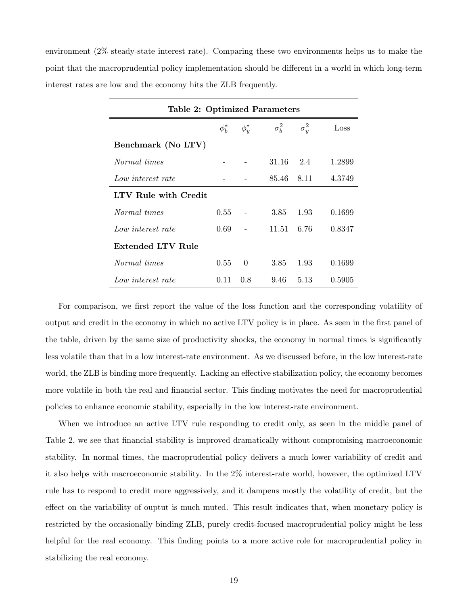environment (2% steady-state interest rate). Comparing these two environments helps us to make the point that the macroprudential policy implementation should be different in a world in which long-term interest rates are low and the economy hits the ZLB frequently.

| <b>Table 2: Optimized Parameters</b> |            |                |              |              |        |  |  |  |
|--------------------------------------|------------|----------------|--------------|--------------|--------|--|--|--|
|                                      | $\phi_h^*$ | $\phi_{y}^{*}$ | $\sigma_h^2$ | $\sigma^2_u$ | Loss   |  |  |  |
| Benchmark (No LTV)                   |            |                |              |              |        |  |  |  |
| Normal times                         |            |                | 31.16        | 2.4          | 1.2899 |  |  |  |
| Low interest rate                    |            |                | 85.46        | -8.11        | 4.3749 |  |  |  |
| LTV Rule with Credit                 |            |                |              |              |        |  |  |  |
| Normal times                         | 0.55       |                | 3.85         | 1.93         | 0.1699 |  |  |  |
| Low interest rate                    | 0.69       |                | 11.51        | - 6.76       | 0.8347 |  |  |  |
| Extended LTV Rule                    |            |                |              |              |        |  |  |  |
| Normal times                         | 0.55       | $\Omega$       | 3.85         | 1.93         | 0.1699 |  |  |  |
| Low interest rate                    | 0.11       | 0.8            | 9.46         | 5.13         | 0.5905 |  |  |  |

For comparison, we first report the value of the loss function and the corresponding volatility of output and credit in the economy in which no active LTV policy is in place. As seen in the first panel of the table, driven by the same size of productivity shocks, the economy in normal times is significantly less volatile than that in a low interest-rate environment. As we discussed before, in the low interest-rate world, the ZLB is binding more frequently. Lacking an effective stabilization policy, the economy becomes more volatile in both the real and financial sector. This finding motivates the need for macroprudential policies to enhance economic stability, especially in the low interest-rate environment.

When we introduce an active LTV rule responding to credit only, as seen in the middle panel of Table 2, we see that financial stability is improved dramatically without compromising macroeconomic stability. In normal times, the macroprudential policy delivers a much lower variability of credit and it also helps with macroeconomic stability. In the 2% interest-rate world, however, the optimized LTV rule has to respond to credit more aggressively, and it dampens mostly the volatility of credit, but the effect on the variability of ouptut is much muted. This result indicates that, when monetary policy is restricted by the occasionally binding ZLB, purely credit-focused macroprudential policy might be less helpful for the real economy. This finding points to a more active role for macroprudential policy in stabilizing the real economy.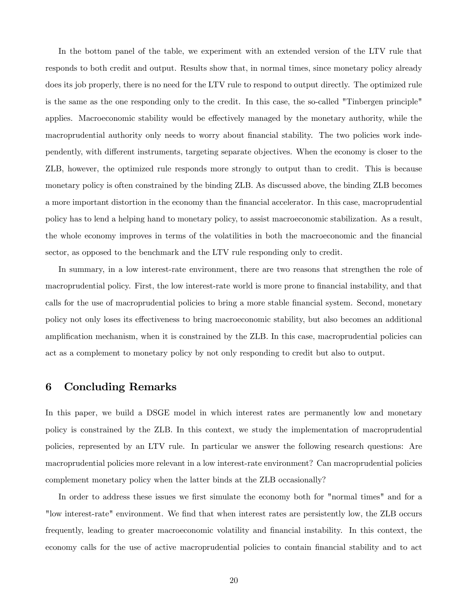In the bottom panel of the table, we experiment with an extended version of the LTV rule that responds to both credit and output. Results show that, in normal times, since monetary policy already does its job properly, there is no need for the LTV rule to respond to output directly. The optimized rule is the same as the one responding only to the credit. In this case, the so-called "Tinbergen principle" applies. Macroeconomic stability would be effectively managed by the monetary authority, while the macroprudential authority only needs to worry about financial stability. The two policies work independently, with different instruments, targeting separate objectives. When the economy is closer to the ZLB, however, the optimized rule responds more strongly to output than to credit. This is because monetary policy is often constrained by the binding ZLB. As discussed above, the binding ZLB becomes a more important distortion in the economy than the Önancial accelerator. In this case, macroprudential policy has to lend a helping hand to monetary policy, to assist macroeconomic stabilization. As a result, the whole economy improves in terms of the volatilities in both the macroeconomic and the Önancial sector, as opposed to the benchmark and the LTV rule responding only to credit.

In summary, in a low interest-rate environment, there are two reasons that strengthen the role of macroprudential policy. First, the low interest-rate world is more prone to financial instability, and that calls for the use of macroprudential policies to bring a more stable financial system. Second, monetary policy not only loses its effectiveness to bring macroeconomic stability, but also becomes an additional amplification mechanism, when it is constrained by the ZLB. In this case, macroprudential policies can act as a complement to monetary policy by not only responding to credit but also to output.

## 6 Concluding Remarks

In this paper, we build a DSGE model in which interest rates are permanently low and monetary policy is constrained by the ZLB. In this context, we study the implementation of macroprudential policies, represented by an LTV rule. In particular we answer the following research questions: Are macroprudential policies more relevant in a low interest-rate environment? Can macroprudential policies complement monetary policy when the latter binds at the ZLB occasionally?

In order to address these issues we first simulate the economy both for "normal times" and for a "low interest-rate" environment. We Önd that when interest rates are persistently low, the ZLB occurs frequently, leading to greater macroeconomic volatility and financial instability. In this context, the economy calls for the use of active macroprudential policies to contain Önancial stability and to act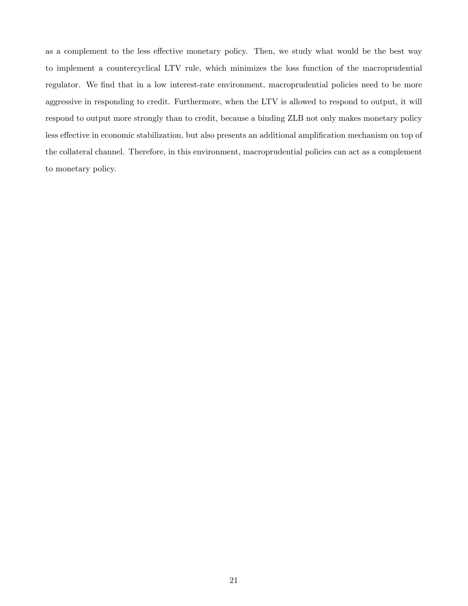as a complement to the less effective monetary policy. Then, we study what would be the best way to implement a countercyclical LTV rule, which minimizes the loss function of the macroprudential regulator. We find that in a low interest-rate environment, macroprudential policies need to be more aggressive in responding to credit. Furthermore, when the LTV is allowed to respond to output, it will respond to output more strongly than to credit, because a binding ZLB not only makes monetary policy less effective in economic stabilization, but also presents an additional amplification mechanism on top of the collateral channel. Therefore, in this environment, macroprudential policies can act as a complement to monetary policy.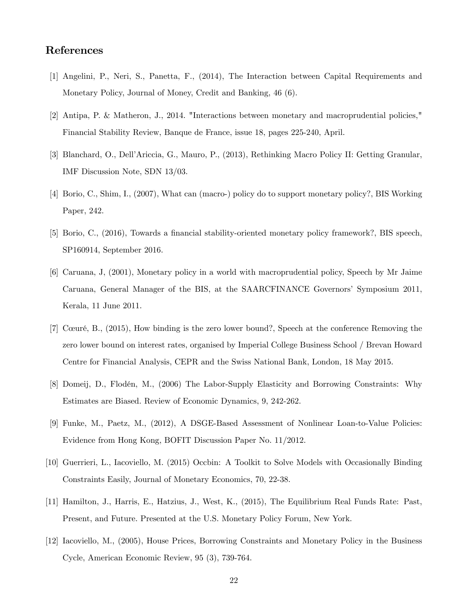## References

- [1] Angelini, P., Neri, S., Panetta, F., (2014), The Interaction between Capital Requirements and Monetary Policy, Journal of Money, Credit and Banking, 46 (6).
- [2] Antipa, P. & Matheron, J., 2014. "Interactions between monetary and macroprudential policies," Financial Stability Review, Banque de France, issue 18, pages 225-240, April.
- [3] Blanchard, O., DellíAriccia, G., Mauro, P., (2013), Rethinking Macro Policy II: Getting Granular, IMF Discussion Note, SDN 13/03.
- [4] Borio, C., Shim, I., (2007), What can (macro-) policy do to support monetary policy?, BIS Working Paper, 242.
- [5] Borio, C., (2016), Towards a financial stability-oriented monetary policy framework?, BIS speech, SP160914, September 2016.
- [6] Caruana, J, (2001), Monetary policy in a world with macroprudential policy, Speech by Mr Jaime Caruana, General Manager of the BIS, at the SAARCFINANCE Governorsí Symposium 2011, Kerala, 11 June 2011.
- [7] CúurÈ, B., (2015), How binding is the zero lower bound?, Speech at the conference Removing the zero lower bound on interest rates, organised by Imperial College Business School / Brevan Howard Centre for Financial Analysis, CEPR and the Swiss National Bank, London, 18 May 2015.
- [8] Domeij, D., Flodén, M., (2006) The Labor-Supply Elasticity and Borrowing Constraints: Why Estimates are Biased. Review of Economic Dynamics, 9, 242-262.
- [9] Funke, M., Paetz, M., (2012), A DSGE-Based Assessment of Nonlinear Loan-to-Value Policies: Evidence from Hong Kong, BOFIT Discussion Paper No. 11/2012.
- [10] Guerrieri, L., Iacoviello, M. (2015) Occbin: A Toolkit to Solve Models with Occasionally Binding Constraints Easily, Journal of Monetary Economics, 70, 22-38.
- [11] Hamilton, J., Harris, E., Hatzius, J., West, K., (2015), The Equilibrium Real Funds Rate: Past, Present, and Future. Presented at the U.S. Monetary Policy Forum, New York.
- [12] Iacoviello, M., (2005), House Prices, Borrowing Constraints and Monetary Policy in the Business Cycle, American Economic Review, 95 (3), 739-764.